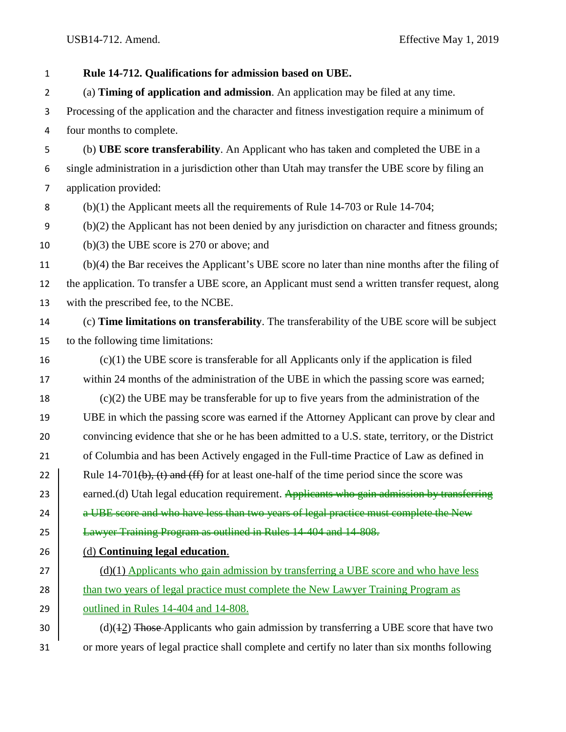**Rule 14-712. Qualifications for admission based on UBE.** (a) **Timing of application and admission**. An application may be filed at any time. Processing of the application and the character and fitness investigation require a minimum of four months to complete. (b) **UBE score transferability**. An Applicant who has taken and completed the UBE in a single administration in a jurisdiction other than Utah may transfer the UBE score by filing an application provided: (b)(1) the Applicant meets all the requirements of Rule 14-703 or Rule 14-704; (b)(2) the Applicant has not been denied by any jurisdiction on character and fitness grounds; (b)(3) the UBE score is 270 or above; and (b)(4) the Bar receives the Applicant's UBE score no later than nine months after the filing of the application. To transfer a UBE score, an Applicant must send a written transfer request, along with the prescribed fee, to the NCBE. (c) **Time limitations on transferability**. The transferability of the UBE score will be subject to the following time limitations: (c)(1) the UBE score is transferable for all Applicants only if the application is filed within 24 months of the administration of the UBE in which the passing score was earned; (c)(2) the UBE may be transferable for up to five years from the administration of the UBE in which the passing score was earned if the Attorney Applicant can prove by clear and convincing evidence that she or he has been admitted to a U.S. state, territory, or the District of Columbia and has been Actively engaged in the Full-time Practice of Law as defined in 22 Rule 14-701(b), (t) and (ff) for at least one-half of the time period since the score was 23 earned.(d) Utah legal education requirement. Applicants who gain admission by transferring  $\parallel$  a UBE score and who have less than two years of legal practice must complete the New **Lawyer Training Program as outlined in Rules 14-404 and 14-808.**  (d) **Continuing legal education**. 27 (d)(1) Applicants who gain admission by transferring a UBE score and who have less 28 than two years of legal practice must complete the New Lawyer Training Program as **outlined in Rules 14-404 and 14-808.**  (d)(42) Those Applicants who gain admission by transferring a UBE score that have two or more years of legal practice shall complete and certify no later than six months following